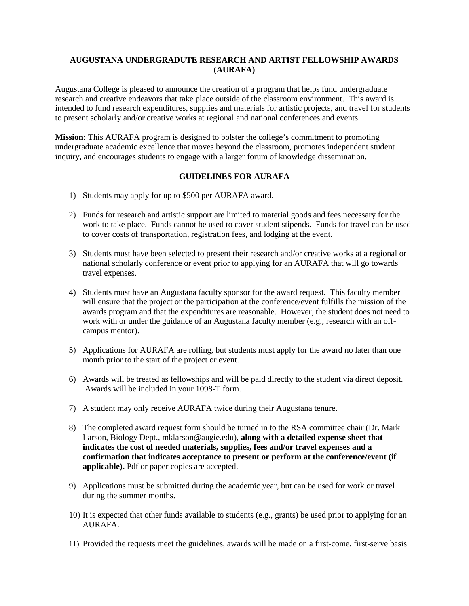## **AUGUSTANA UNDERGRADUTE RESEARCH AND ARTIST FELLOWSHIP AWARDS (AURAFA)**

Augustana College is pleased to announce the creation of a program that helps fund undergraduate research and creative endeavors that take place outside of the classroom environment. This award is intended to fund research expenditures, supplies and materials for artistic projects, and travel for students to present scholarly and/or creative works at regional and national conferences and events.

**Mission:** This AURAFA program is designed to bolster the college's commitment to promoting undergraduate academic excellence that moves beyond the classroom, promotes independent student inquiry, and encourages students to engage with a larger forum of knowledge dissemination.

## **GUIDELINES FOR AURAFA**

- 1) Students may apply for up to \$500 per AURAFA award.
- 2) Funds for research and artistic support are limited to material goods and fees necessary for the work to take place. Funds cannot be used to cover student stipends. Funds for travel can be used to cover costs of transportation, registration fees, and lodging at the event.
- 3) Students must have been selected to present their research and/or creative works at a regional or national scholarly conference or event prior to applying for an AURAFA that will go towards travel expenses.
- 4) Students must have an Augustana faculty sponsor for the award request. This faculty member will ensure that the project or the participation at the conference/event fulfills the mission of the awards program and that the expenditures are reasonable. However, the student does not need to work with or under the guidance of an Augustana faculty member (e.g., research with an offcampus mentor).
- 5) Applications for AURAFA are rolling, but students must apply for the award no later than one month prior to the start of the project or event.
- 6) Awards will be treated as fellowships and will be paid directly to the student via direct deposit. Awards will be included in your 1098-T form.
- 7) A student may only receive AURAFA twice during their Augustana tenure.
- 8) The completed award request form should be turned in to the RSA committee chair (Dr. Mark Larson, Biology Dept., mklarson@augie.edu), **along with a detailed expense sheet that indicates the cost of needed materials, supplies, fees and/or travel expenses and a confirmation that indicates acceptance to present or perform at the conference/event (if applicable).** Pdf or paper copies are accepted.
- 9) Applications must be submitted during the academic year, but can be used for work or travel during the summer months.
- 10) It is expected that other funds available to students (e.g., grants) be used prior to applying for an AURAFA.
- 11) Provided the requests meet the guidelines, awards will be made on a first-come, first-serve basis